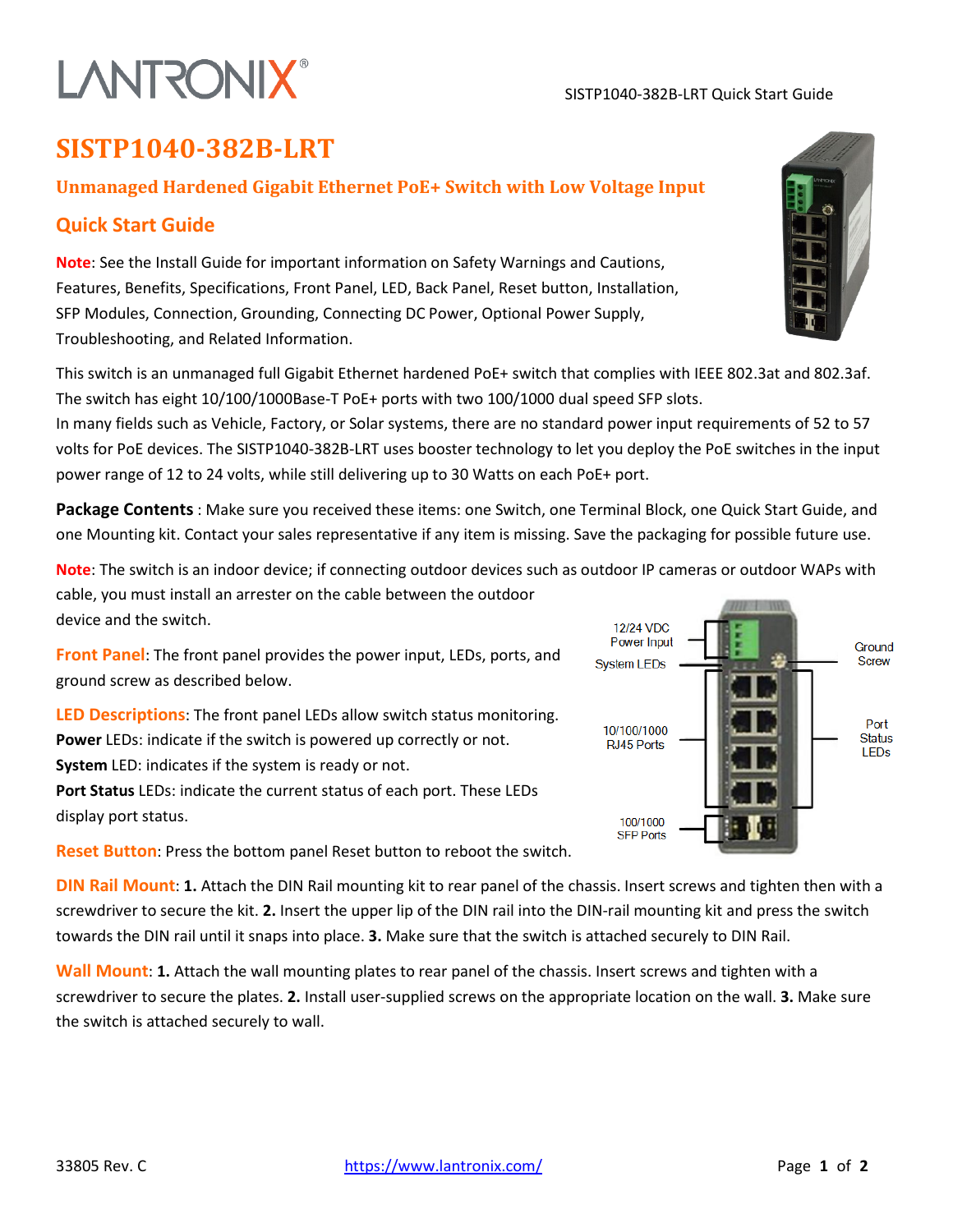#### SISTP1040-382B-LRT Quick Start Guide

#### **SISTP1040-382B-LRT**

#### **Unmanaged Hardened Gigabit Ethernet PoE+ Switch with Low Voltage Input**

#### **Quick Start Guide**

**Note**: See the Install Guide for important information on Safety Warnings and Cautions, Features, Benefits, Specifications, Front Panel, LED, Back Panel, Reset button, Installation, SFP Modules, Connection, Grounding, Connecting DC Power, Optional Power Supply, Troubleshooting, and Related Information.

This switch is an unmanaged full Gigabit Ethernet hardened PoE+ switch that complies with IEEE 802.3at and 802.3af. The switch has eight 10/100/1000Base-T PoE+ ports with two 100/1000 dual speed SFP slots.

In many fields such as Vehicle, Factory, or Solar systems, there are no standard power input requirements of 52 to 57 volts for PoE devices. The SISTP1040-382B-LRT uses booster technology to let you deploy the PoE switches in the input power range of 12 to 24 volts, while still delivering up to 30 Watts on each PoE+ port.

**Package Contents** : Make sure you received these items: one Switch, one Terminal Block, one Quick Start Guide, and one Mounting kit. Contact your sales representative if any item is missing. Save the packaging for possible future use.

**Note**: The switch is an indoor device; if connecting outdoor devices such as outdoor IP cameras or outdoor WAPs with cable, you must install an arrester on the cable between the outdoor device and the switch.

**Front Panel**: The front panel provides the power input, LEDs, ports, and ground screw as described below.

**LED Descriptions**: The front panel LEDs allow switch status monitoring. **Power** LEDs: indicate if the switch is powered up correctly or not. **System** LED: indicates if the system is ready or not.

**Port Status** LEDs: indicate the current status of each port. These LEDs display port status.

**Reset Button**: Press the bottom panel Reset button to reboot the switch.

**DIN Rail Mount**: **1.** Attach the DIN Rail mounting kit to rear panel of the chassis. Insert screws and tighten then with a screwdriver to secure the kit. **2.** Insert the upper lip of the DIN rail into the DIN-rail mounting kit and press the switch towards the DIN rail until it snaps into place. **3.** Make sure that the switch is attached securely to DIN Rail.

**Wall Mount**: **1.** Attach the wall mounting plates to rear panel of the chassis. Insert screws and tighten with a screwdriver to secure the plates. **2.** Install user-supplied screws on the appropriate location on the wall. **3.** Make sure the switch is attached securely to wall.





## **LANTRONIX®**